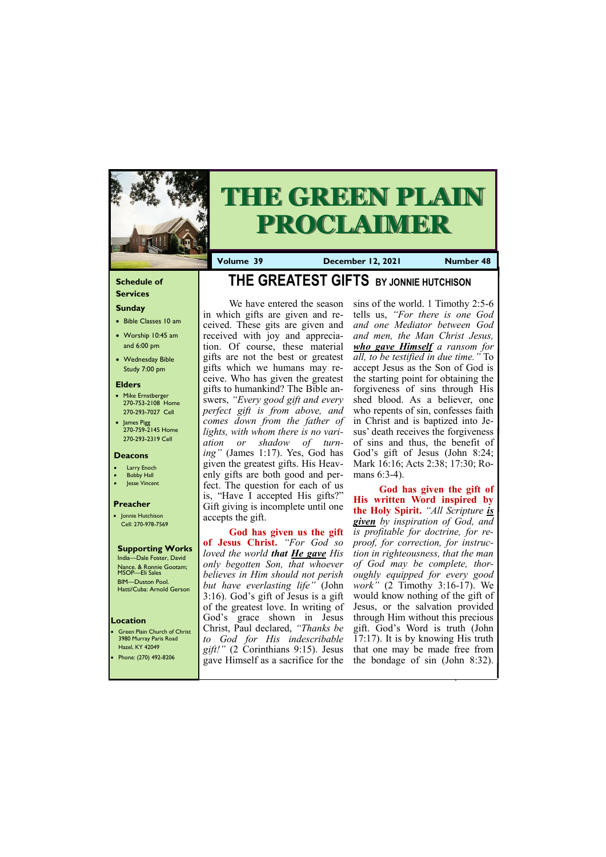#### **Schedule of Services**

# **Sunday**

- Bible Classes 10 am
- Worship 10:45 am and 6:00 pm
- Wednesday Bible Study 7:00 pm

#### **Elders**

Green Plain Church of Christ 3980 Murray Paris Road Hazel, KY 42049

- Mike Ernstberger 270-753-2108 Home 270-293-7027 Cell
- James Pigg 270-759-2145 Home 270-293-2319 Cell



# **THE GREEN PLAIN PROCLAIMER**

#### **Location**

**Volume 39 December 12, 2021 Number 48**

#### **Deacons**

- **Larry Enoch**
- **Bobby Hall**
- Jesse Vincent

#### **Preacher**

• Jonnie Hutchison Cell: 270-978-7569

#### **Supporting Works**

India—Dale Foster, David Nance. & Ronnie Gootam; MSOP—Eli Sales BIM—Duston Pool. Hatti/Cuba: Arnold Gerson

# **THE GREATEST GIFTS BY JONNIE HUTCHISON**

sins of the world. 1 Timothy 2:5-6 tells us, *"For there is one God and one Mediator between God and men, the Man Christ Jesus, who gave Himself a ransom for all, to be testified in due time."* To accept Jesus as the Son of God is the starting point for obtaining the forgiveness of sins through His shed blood. As a believer, one who repents of sin, confesses faith in Christ and is baptized into Jesus' death receives the forgiveness of sins and thus, the benefit of God's gift of Jesus (John 8:24; Mark 16:16; Acts 2:38; 17:30; Romans 6:3-4).

We have entered the season in which gifts are given and received. These gits are given and received with joy and appreciation. Of course, these material gifts are not the best or greatest gifts which we humans may receive. Who has given the greatest gifts to humankind? The Bible answers, *"Every good gift and every perfect gift is from above, and comes down from the father of lights, with whom there is no variation or shadow of turning"* (James 1:17). Yes, God has given the greatest gifts. His Heavenly gifts are both good and perfect. The question for each of us is, "Have I accepted His gifts?" Gift giving is incomplete until one accepts the gift.

**God has given us the gift of Jesus Christ.** *"For God so loved the world that He gave His only begotten Son, that whoever believes in Him should not perish but have everlasting life"* (John 3:16). God's gift of Jesus is a gift of the greatest love. In writing of God's grace shown in Jesus Christ, Paul declared, *"Thanks be to God for His indescribable* 

| Hazel, KY 42049       | $\lg\left(\frac{1}{2}\right)$ (2 Corinthians 9:15). Jesus that one may be made free from |
|-----------------------|------------------------------------------------------------------------------------------|
| Phone: (270) 492-8206 | gave Himself as a sacrifice for the the bondage of sin (John 8:32).                      |
|                       |                                                                                          |

**God has given the gift of His written Word inspired by the Holy Spirit.** *"All Scripture is given by inspiration of God, and is profitable for doctrine, for reproof, for correction, for instruction in righteousness, that the man of God may be complete, thoroughly equipped for every good work"* (2 Timothy 3:16-17). We would know nothing of the gift of Jesus, or the salvation provided through Him without this precious gift. God's Word is truth (John 17:17). It is by knowing His truth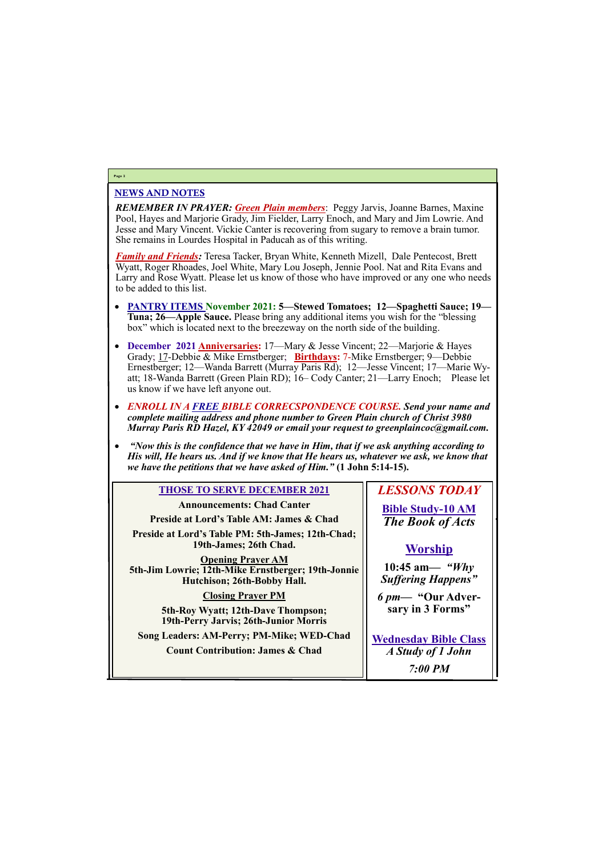# NEWS AND NOTES

*REMEMBER IN PRAYER: Green Plain members*: Peggy Jarvis, Joanne Barnes, Maxine Pool, Hayes and Marjorie Grady, Jim Fielder, Larry Enoch, and Mary and Jim Lowrie. And Jesse and Mary Vincent. Vickie Canter is recovering from sugary to remove a brain tumor. She remains in Lourdes Hospital in Paducah as of this writing.

*Family and Friends:* Teresa Tacker, Bryan White, Kenneth Mizell, Dale Pentecost, Brett Wyatt, Roger Rhoades, Joel White, Mary Lou Joseph, Jennie Pool. Nat and Rita Evans and Larry and Rose Wyatt. Please let us know of those who have improved or any one who needs to be added to this list.

- **PANTRY ITEMS November 2021: 5—Stewed Tomatoes; 12—Spaghetti Sauce; 19— Tuna; 26—Apple Sauce.** Please bring any additional items you wish for the "blessing box" which is located next to the breezeway on the north side of the building.
- **December 2021 Anniversaries:** 17—Mary & Jesse Vincent; 22—Marjorie & Hayes Grady; 17-Debbie & Mike Ernstberger; **Birthdays:** 7-Mike Ernstberger; 9—Debbie Ernestberger; 12—Wanda Barrett (Murray Paris Rd); 12—Jesse Vincent; 17—Marie Wyatt; 18-Wanda Barrett (Green Plain RD); 16– Cody Canter; 21—Larry Enoch; Please let us know if we have left anyone out.
- *ENROLL IN A FREE BIBLE CORRECSPONDENCE COURSE. Send your name and complete mailing address and phone number to Green Plain church of Christ 3980 Murray Paris RD Hazel, KY 42049 or email your request to greenplaincoc@gmail.com.*
- *"Now this is the confidence that we have in Him, that if we ask anything according to His will, He hears us. And if we know that He hears us, whatever we ask, we know that we have the petitions that we have asked of Him."* **(1 John 5:14-15).**

### **Page 2**

# **THOSE TO SERVE DECEMBER 2021**

**Announcements: Chad Canter Preside at Lord's Table AM: James & Chad**

**Preside at Lord's Table PM: 5th-James; 12th-Chad; 19th-James; 26th Chad.**

**Opening Prayer AM 5th-Jim Lowrie; 12th-Mike Ernstberger; 19th-Jonnie Hutchison; 26th-Bobby Hall.**

# **Closing Prayer PM**

**5th-Roy Wyatt; 12th-Dave Thompson; 19th-Perry Jarvis; 26th-Junior Morris**

**Song Leaders: AM-Perry; PM-Mike; WED-Chad**

*LESSONS TODAY*

**Bible Study-10 AM** *The Book of Acts*

# **Worship**

| <b>Count Contribution: James &amp; Chad</b> | A Study of 1 John |
|---------------------------------------------|-------------------|
|                                             | $7:00$ PM         |

**10:45 am***— "Why Suffering Happens"*

*6 pm***— "Our Adversary in 3 Forms"**

**Wednesday Bible Class**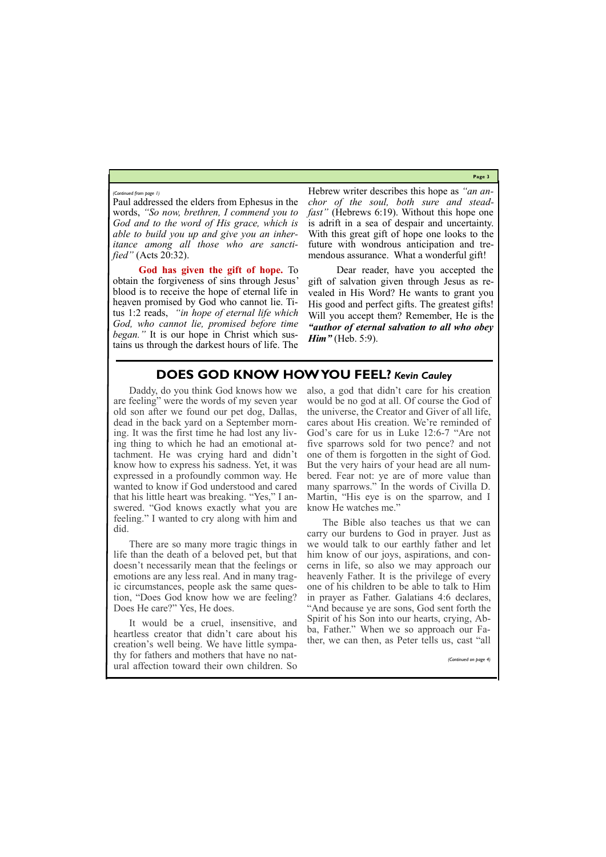**Page 3**

Paul addressed the elders from Ephesus in the words, *"So now, brethren, I commend you to God and to the word of His grace, which is able to build you up and give you an inheritance among all those who are sanctified"* (Acts 20:32).

**God has given the gift of hope.** To obtain the forgiveness of sins through Jesus' blood is to receive the hope of eternal life in heaven promised by God who cannot lie. Titus 1:2 reads, *"in hope of eternal life which God, who cannot lie, promised before time began."* It is our hope in Christ which sustains us through the darkest hours of life. The

Dear reader, have you accepted the gift of salvation given through Jesus as revealed in His Word? He wants to grant you His good and perfect gifts. The greatest gifts! Will you accept them? Remember, He is the *"author of eternal salvation to all who obey Him*<sup>*n*</sup> (Heb. 5:9).

Hebrew writer describes this hope as *"an anchor of the soul, both sure and steadfast"* (Hebrews 6:19). Without this hope one is adrift in a sea of despair and uncertainty. With this great gift of hope one looks to the future with wondrous anticipation and tremendous assurance. What a wonderful gift!

*(Continued from page 1)*

# **DOES GOD KNOW HOW YOU FEEL?** *Kevin Cauley*

Daddy, do you think God knows how we are feeling" were the words of my seven year old son after we found our pet dog, Dallas, dead in the back yard on a September morning. It was the first time he had lost any living thing to which he had an emotional attachment. He was crying hard and didn't know how to express his sadness. Yet, it was expressed in a profoundly common way. He wanted to know if God understood and cared that his little heart was breaking. "Yes," I answered. "God knows exactly what you are feeling." I wanted to cry along with him and did.

There are so many more tragic things in life than the death of a beloved pet, but that doesn't necessarily mean that the feelings or emotions are any less real. And in many tragic circumstances, people ask the same question, "Does God know how we are feeling? Does He care?" Yes, He does.

It would be a cruel, insensitive, and heartless creator that didn't care about his creation's well being. We have little sympathy for fathers and mothers that have no natural affection toward their own children. So

also, a god that didn't care for his creation would be no god at all. Of course the God of the universe, the Creator and Giver of all life, cares about His creation. We're reminded of God's care for us in Luke 12:6-7 "Are not five sparrows sold for two pence? and not one of them is forgotten in the sight of God. But the very hairs of your head are all numbered. Fear not: ye are of more value than many sparrows." In the words of Civilla D. Martin, "His eye is on the sparrow, and I know He watches me."

The Bible also teaches us that we can carry our burdens to God in prayer. Just as we would talk to our earthly father and let him know of our joys, aspirations, and concerns in life, so also we may approach our heavenly Father. It is the privilege of every one of his children to be able to talk to Him in prayer as Father. Galatians 4:6 declares, "And because ye are sons, God sent forth the Spirit of his Son into our hearts, crying, Abba, Father." When we so approach our Father, we can then, as Peter tells us, cast "all

*(Continued on page 4)*